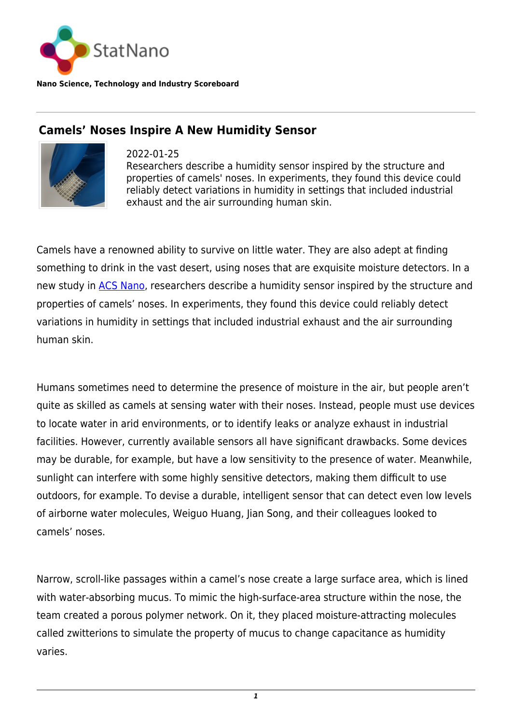

**Nano Science, Technology and Industry Scoreboard**

## **Camels' Noses Inspire A New Humidity Sensor**



2022-01-25 Researchers describe a humidity sensor inspired by the structure and properties of camels' noses. In experiments, they found this device could reliably detect variations in humidity in settings that included industrial exhaust and the air surrounding human skin.

Camels have a renowned ability to survive on little water. They are also adept at finding something to drink in the vast desert, using noses that are exquisite moisture detectors. In a new study in [ACS Nano](https://pubs.acs.org/doi/abs/10.1021/acsnano.1c10004), researchers describe a humidity sensor inspired by the structure and properties of camels' noses. In experiments, they found this device could reliably detect variations in humidity in settings that included industrial exhaust and the air surrounding human skin.

Humans sometimes need to determine the presence of moisture in the air, but people aren't quite as skilled as camels at sensing water with their noses. Instead, people must use devices to locate water in arid environments, or to identify leaks or analyze exhaust in industrial facilities. However, currently available sensors all have significant drawbacks. Some devices may be durable, for example, but have a low sensitivity to the presence of water. Meanwhile, sunlight can interfere with some highly sensitive detectors, making them difficult to use outdoors, for example. To devise a durable, intelligent sensor that can detect even low levels of airborne water molecules, Weiguo Huang, Jian Song, and their colleagues looked to camels' noses.

Narrow, scroll-like passages within a camel's nose create a large surface area, which is lined with water-absorbing mucus. To mimic the high-surface-area structure within the nose, the team created a porous polymer network. On it, they placed moisture-attracting molecules called zwitterions to simulate the property of mucus to change capacitance as humidity varies.